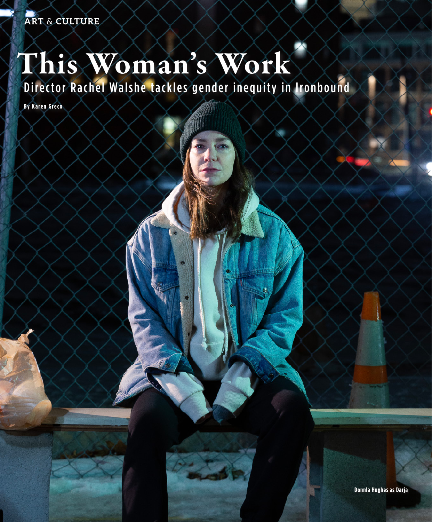## This Woman's Work

Director Rachel Walshe tackles gender inequity in Ironbound

**By Karen Greco**